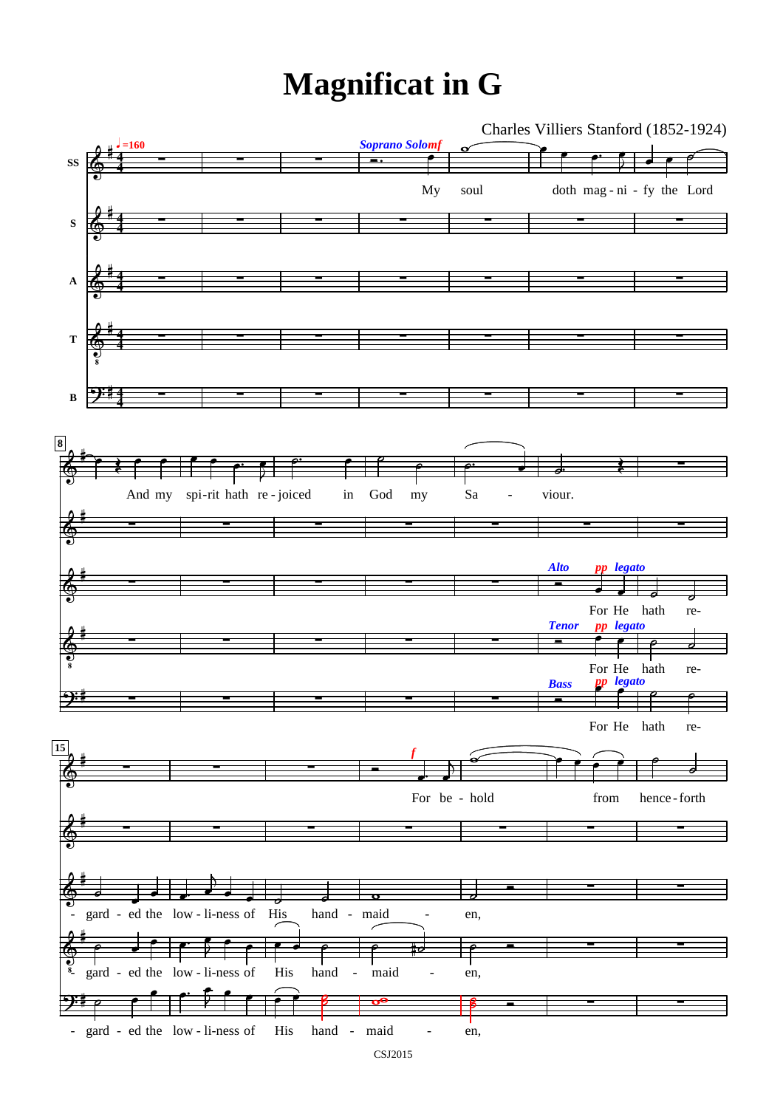## **Magnificat in G**

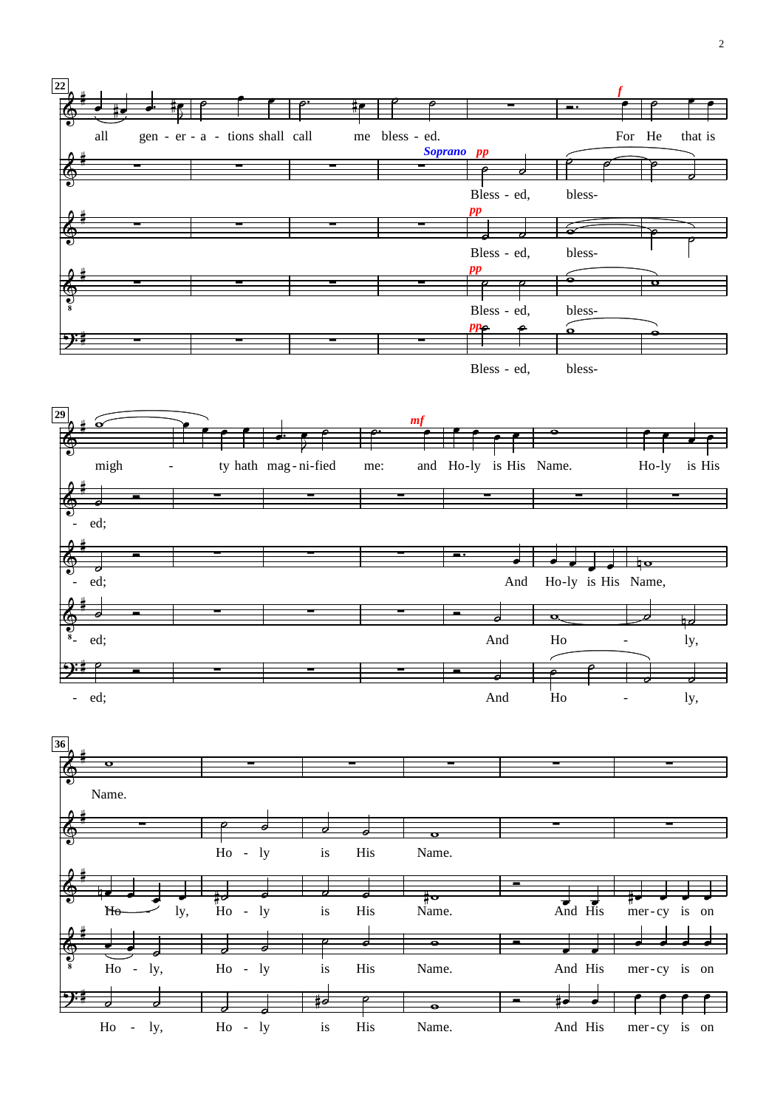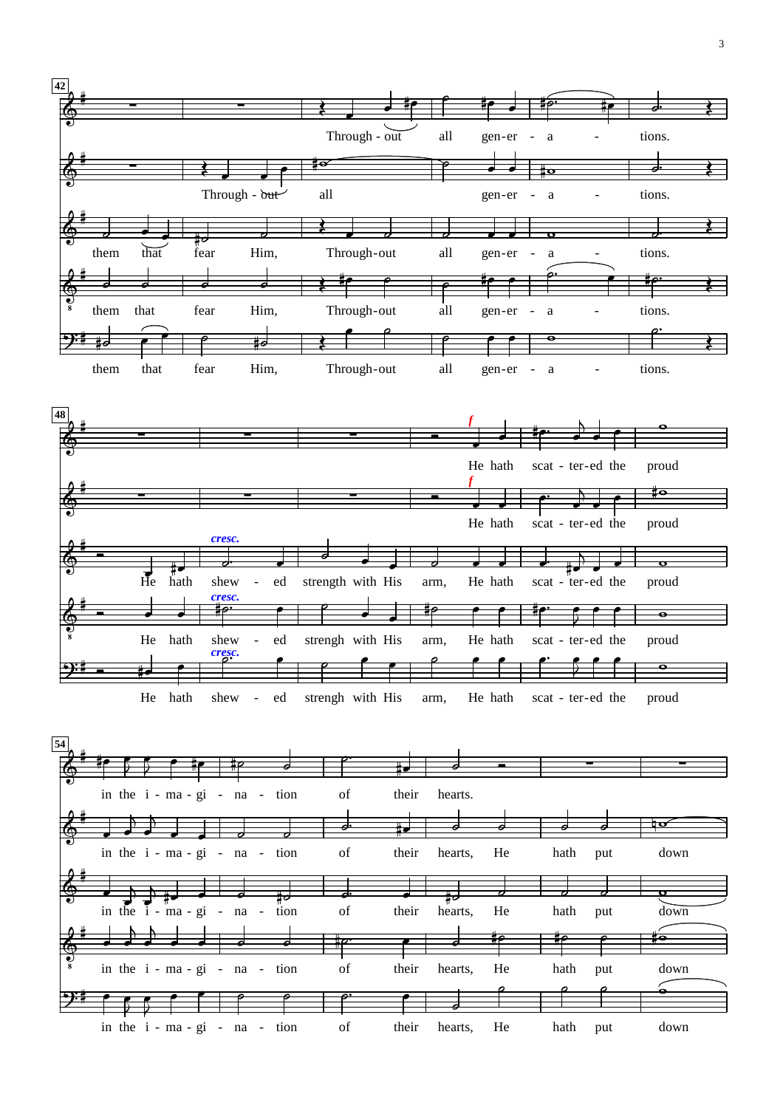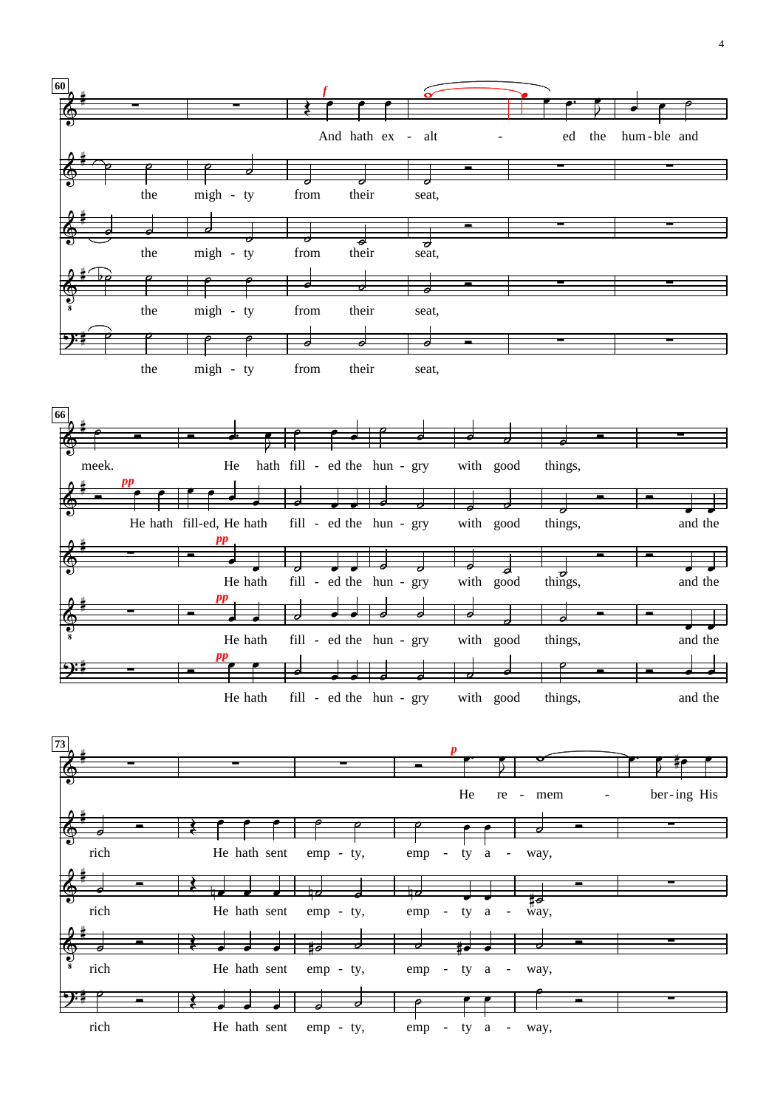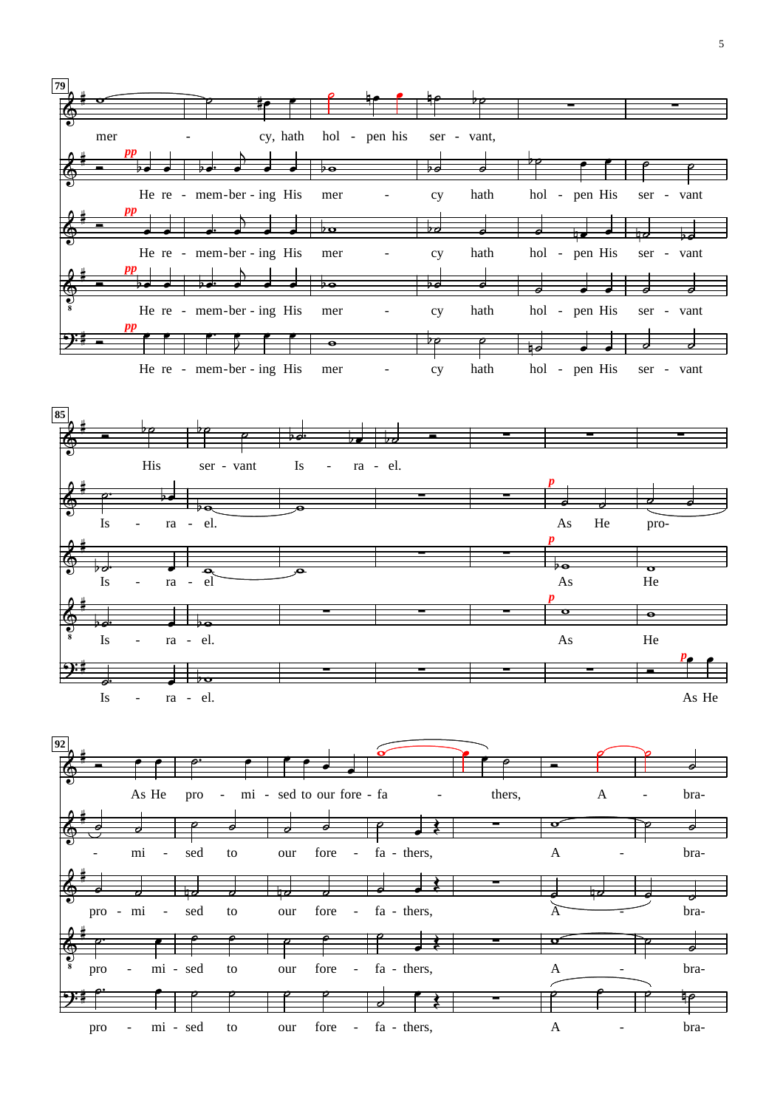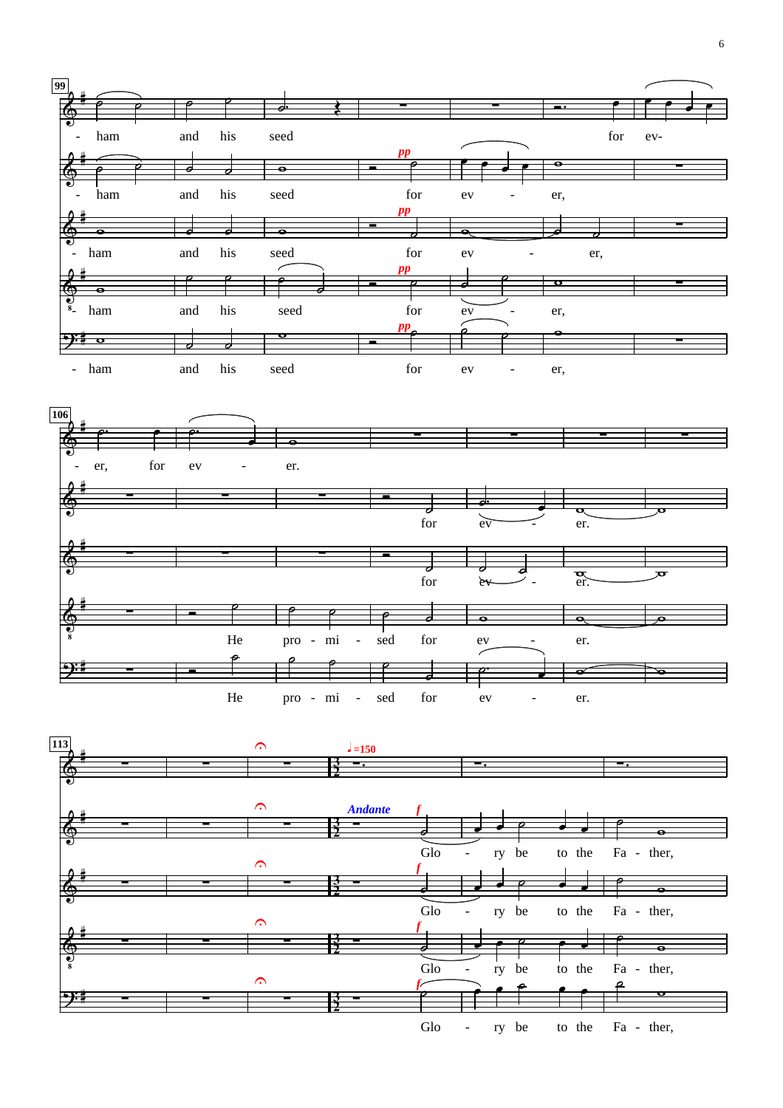